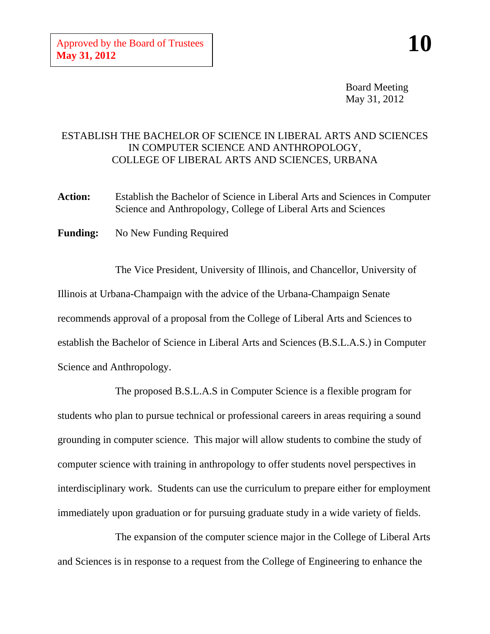Board Meeting May 31, 2012

## ESTABLISH THE BACHELOR OF SCIENCE IN LIBERAL ARTS AND SCIENCES IN COMPUTER SCIENCE AND ANTHROPOLOGY, COLLEGE OF LIBERAL ARTS AND SCIENCES, URBANA

**Action:** Establish the Bachelor of Science in Liberal Arts and Sciences in Computer Science and Anthropology, College of Liberal Arts and Sciences

**Funding:** No New Funding Required

The Vice President, University of Illinois, and Chancellor, University of Illinois at Urbana-Champaign with the advice of the Urbana-Champaign Senate recommends approval of a proposal from the College of Liberal Arts and Sciences to establish the Bachelor of Science in Liberal Arts and Sciences (B.S.L.A.S.) in Computer Science and Anthropology.

The proposed B.S.L.A.S in Computer Science is a flexible program for students who plan to pursue technical or professional careers in areas requiring a sound grounding in computer science. This major will allow students to combine the study of computer science with training in anthropology to offer students novel perspectives in interdisciplinary work. Students can use the curriculum to prepare either for employment immediately upon graduation or for pursuing graduate study in a wide variety of fields.

The expansion of the computer science major in the College of Liberal Arts and Sciences is in response to a request from the College of Engineering to enhance the